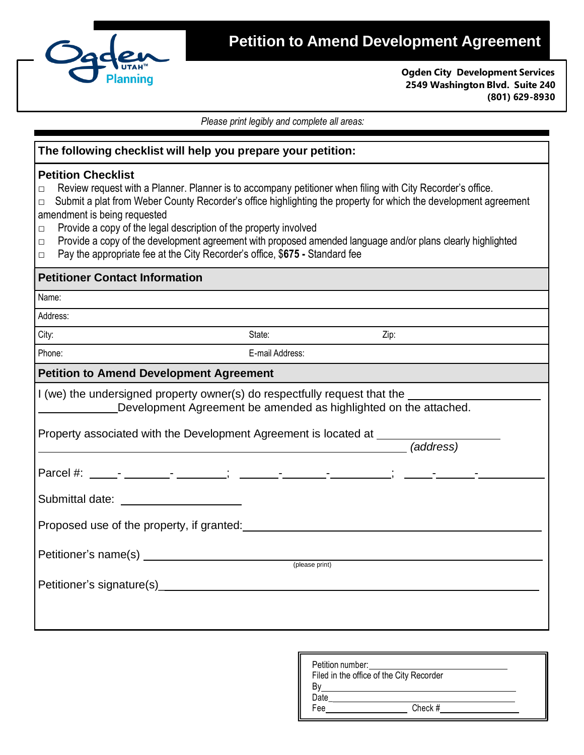

## **Petition to Amend Development Agreement**

**Ogden City Development Services 2549 Washington Blvd. Suite 240 (801) 629-8930**

*Please print legibly and complete all areas:*

| The following checklist will help you prepare your petition:                                                                                                                                                                                                                                                                                                                 |                 |                                                                                                                                                                                                                                |
|------------------------------------------------------------------------------------------------------------------------------------------------------------------------------------------------------------------------------------------------------------------------------------------------------------------------------------------------------------------------------|-----------------|--------------------------------------------------------------------------------------------------------------------------------------------------------------------------------------------------------------------------------|
| <b>Petition Checklist</b><br>Review request with a Planner. Planner is to accompany petitioner when filing with City Recorder's office.<br>$\Box$<br>$\Box$<br>amendment is being requested<br>Provide a copy of the legal description of the property involved<br>$\Box$<br>$\Box$<br>Pay the appropriate fee at the City Recorder's office, \$675 - Standard fee<br>$\Box$ |                 | Submit a plat from Weber County Recorder's office highlighting the property for which the development agreement<br>Provide a copy of the development agreement with proposed amended language and/or plans clearly highlighted |
| <b>Petitioner Contact Information</b>                                                                                                                                                                                                                                                                                                                                        |                 |                                                                                                                                                                                                                                |
| Name:                                                                                                                                                                                                                                                                                                                                                                        |                 |                                                                                                                                                                                                                                |
| Address:                                                                                                                                                                                                                                                                                                                                                                     |                 |                                                                                                                                                                                                                                |
| City:                                                                                                                                                                                                                                                                                                                                                                        | State:          | Zip:                                                                                                                                                                                                                           |
| Phone:                                                                                                                                                                                                                                                                                                                                                                       | E-mail Address: |                                                                                                                                                                                                                                |
| <b>Petition to Amend Development Agreement</b>                                                                                                                                                                                                                                                                                                                               |                 |                                                                                                                                                                                                                                |
| I (we) the undersigned property owner(s) do respectfully request that the<br>Property associated with the Development Agreement is located at _______                                                                                                                                                                                                                        |                 | Development Agreement be amended as highlighted on the attached.<br>$\overline{a}$ (address)                                                                                                                                   |
| Submittal date: experience of the state of the state of the state of the state of the state of the state of the state of the state of the state of the state of the state of the state of the state of the state of the state<br>Proposed use of the property, if granted:                                                                                                   |                 |                                                                                                                                                                                                                                |
|                                                                                                                                                                                                                                                                                                                                                                              | (please print)  |                                                                                                                                                                                                                                |
|                                                                                                                                                                                                                                                                                                                                                                              |                 |                                                                                                                                                                                                                                |

| Filed in the office of the City Recorder |  |  |
|------------------------------------------|--|--|
|                                          |  |  |
|                                          |  |  |
| Check#                                   |  |  |
|                                          |  |  |